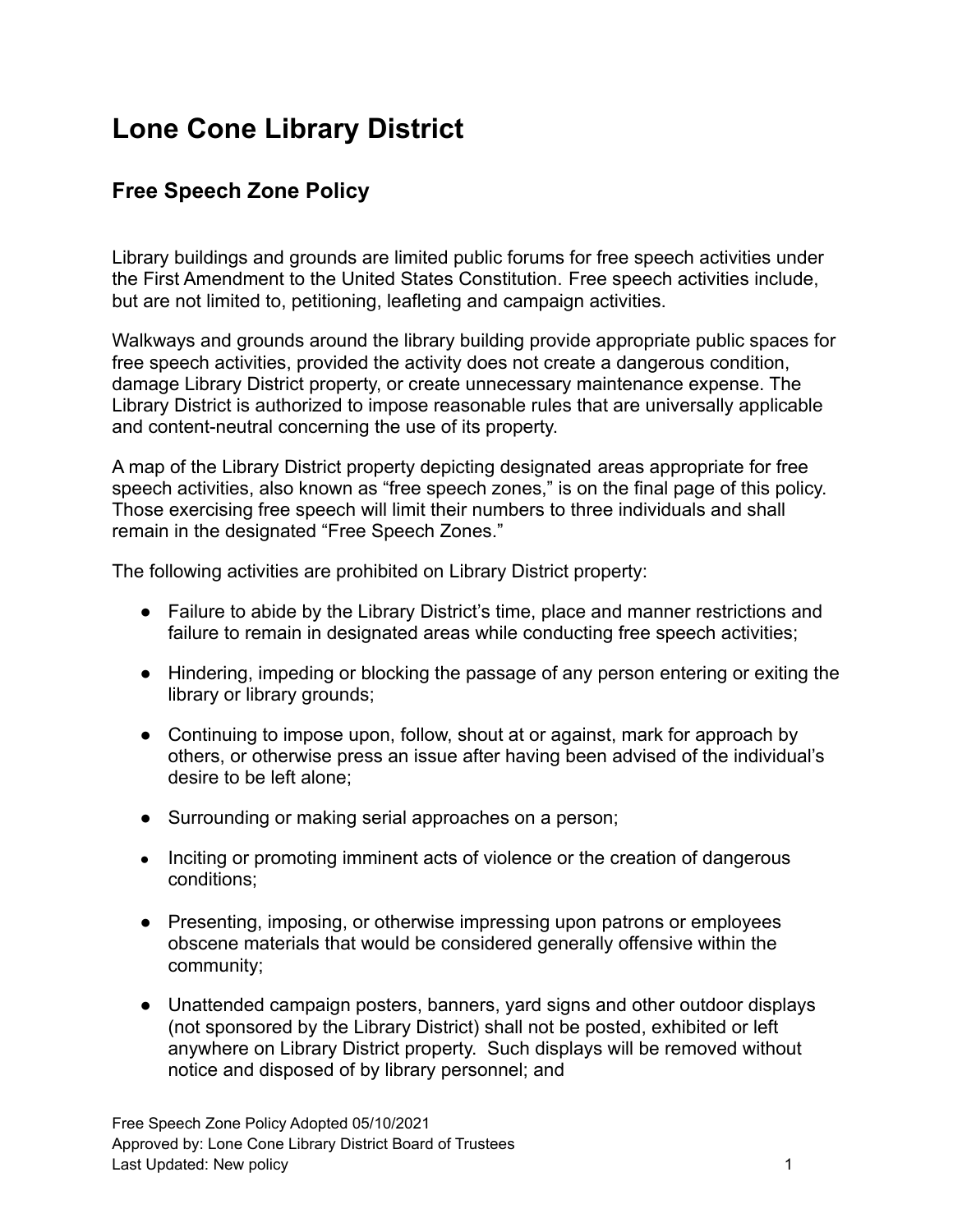## **Lone Cone Library District**

## **Free Speech Zone Policy**

Library buildings and grounds are limited public forums for free speech activities under the First Amendment to the United States Constitution. Free speech activities include, but are not limited to, petitioning, leafleting and campaign activities.

Walkways and grounds around the library building provide appropriate public spaces for free speech activities, provided the activity does not create a dangerous condition, damage Library District property, or create unnecessary maintenance expense. The Library District is authorized to impose reasonable rules that are universally applicable and content-neutral concerning the use of its property.

A map of the Library District property depicting designated areas appropriate for free speech activities, also known as "free speech zones," is on the final page of this policy. Those exercising free speech will limit their numbers to three individuals and shall remain in the designated "Free Speech Zones."

The following activities are prohibited on Library District property:

- Failure to abide by the Library District's time, place and manner restrictions and failure to remain in designated areas while conducting free speech activities;
- Hindering, impeding or blocking the passage of any person entering or exiting the library or library grounds;
- Continuing to impose upon, follow, shout at or against, mark for approach by others, or otherwise press an issue after having been advised of the individual's desire to be left alone;
- Surrounding or making serial approaches on a person;
- Inciting or promoting imminent acts of violence or the creation of dangerous conditions;
- Presenting, imposing, or otherwise impressing upon patrons or employees obscene materials that would be considered generally offensive within the community;
- Unattended campaign posters, banners, yard signs and other outdoor displays (not sponsored by the Library District) shall not be posted, exhibited or left anywhere on Library District property. Such displays will be removed without notice and disposed of by library personnel; and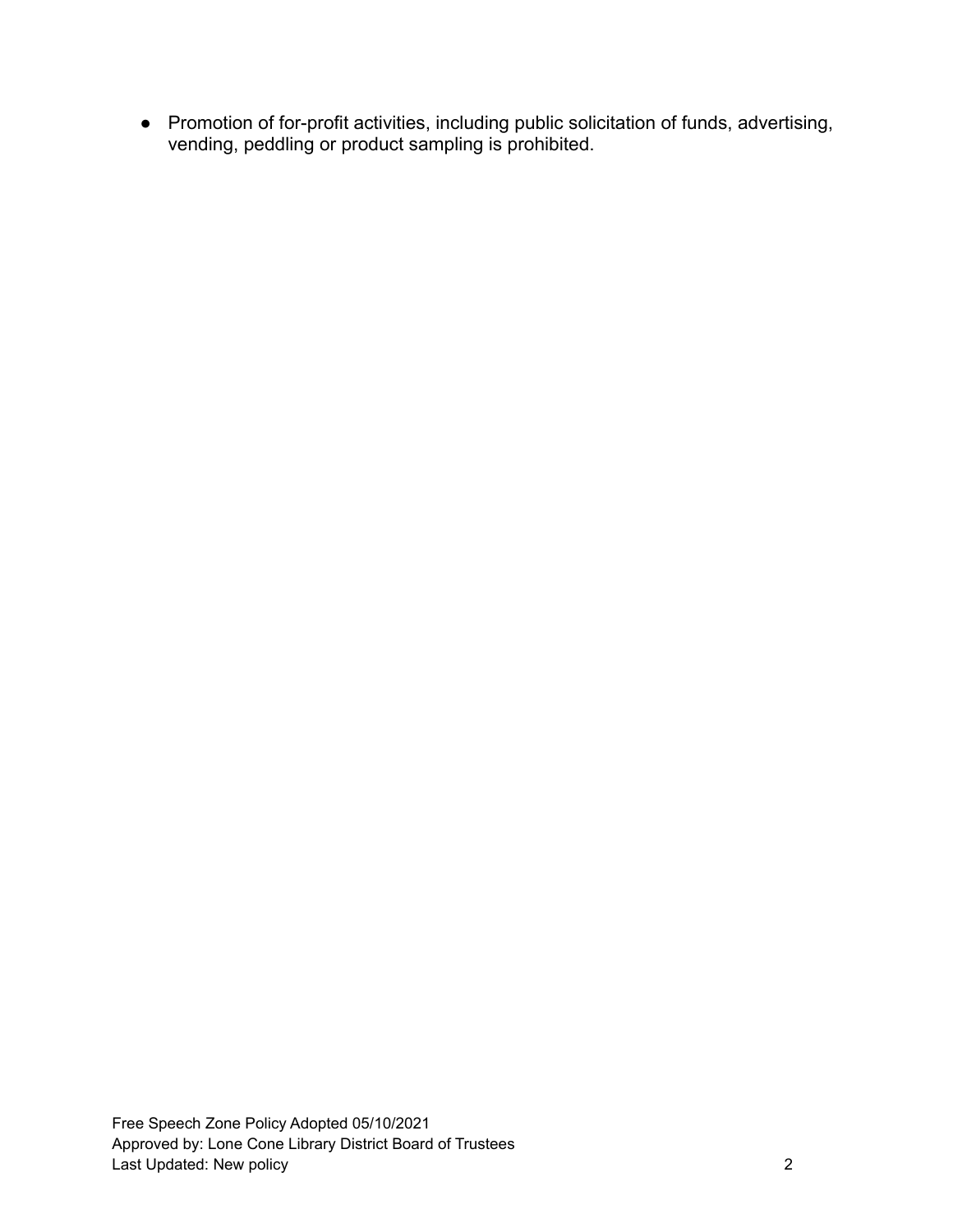● Promotion of for-profit activities, including public solicitation of funds, advertising, vending, peddling or product sampling is prohibited.